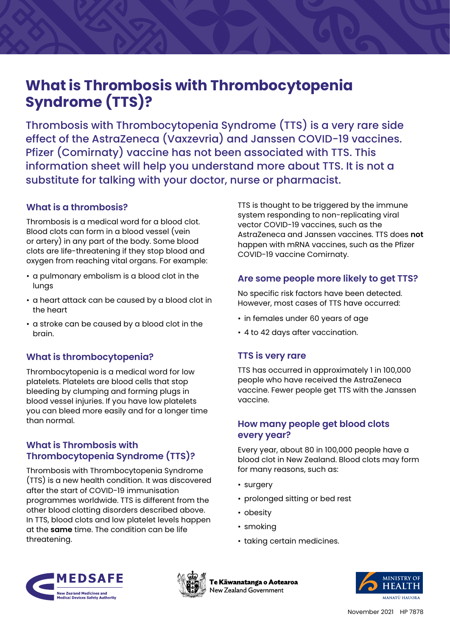# **What is Thrombosis with Thrombocytopenia Syndrome (TTS)?**

Thrombosis with Thrombocytopenia Syndrome (TTS) is a very rare side effect of the AstraZeneca (Vaxzevria) and Janssen COVID-19 vaccines. Pfizer (Comirnaty) vaccine has not been associated with TTS. This information sheet will help you understand more about TTS. It is not a substitute for talking with your doctor, nurse or pharmacist.

## **What is a thrombosis?**

Thrombosis is a medical word for a blood clot. Blood clots can form in a blood vessel (vein or artery) in any part of the body. Some blood clots are life-threatening if they stop blood and oxygen from reaching vital organs. For example:

- a pulmonary embolism is a blood clot in the lungs
- a heart attack can be caused by a blood clot in the heart
- a stroke can be caused by a blood clot in the brain.

## **What is thrombocytopenia?**

Thrombocytopenia is a medical word for low platelets. Platelets are blood cells that stop bleeding by clumping and forming plugs in blood vessel injuries. If you have low platelets you can bleed more easily and for a longer time than normal.

## **What is Thrombosis with Thrombocytopenia Syndrome (TTS)?**

Thrombosis with Thrombocytopenia Syndrome (TTS) is a new health condition. It was discovered after the start of COVID-19 immunisation programmes worldwide. TTS is different from the other blood clotting disorders described above. In TTS, blood clots and low platelet levels happen at the **same** time. The condition can be life threatening.

TTS is thought to be triggered by the immune system responding to non-replicating viral vector COVID-19 vaccines, such as the AstraZeneca and Janssen vaccines. TTS does **not** happen with mRNA vaccines, such as the Pfizer COVID-19 vaccine Comirnaty.

## **Are some people more likely to get TTS?**

No specific risk factors have been detected. However, most cases of TTS have occurred:

- in females under 60 years of age
- 4 to 42 days after vaccination.

## **TTS is very rare**

TTS has occurred in approximately 1 in 100,000 people who have received the AstraZeneca vaccine. Fewer people get TTS with the Janssen vaccine.

#### **How many people get blood clots every year?**

Every year, about 80 in 100,000 people have a blood clot in New Zealand. Blood clots may form for many reasons, such as:

- surgery
- prolonged sitting or bed rest
- obesity
- smoking
- taking certain medicines.





Te Kāwanatanga o Aotearoa New Zealand Government